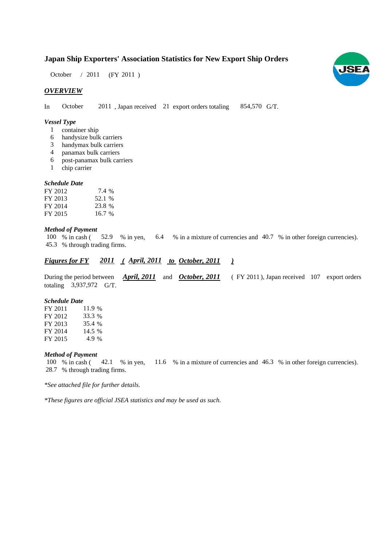# **Japan Ship Exporters' Association Statistics for New Export Ship Orders**

 $(FY 2011)$ October / 2011

# *OVERVIEW*

In October 2011, Japan received 21 export orders totaling 854,570 G/T.

## *Vessel Type*

- container ship 1
- handysize bulk carriers 6
- handymax bulk carriers 3
- panamax bulk carriers 4
- post-panamax bulk carriers 6
- chip carrier 1

## *Schedule Date*

| FY 2012 | 7.4 %  |
|---------|--------|
| FY 2013 | 52.1 % |
| FY 2014 | 23.8 % |
| FY 2015 | 16.7%  |

## *Method of Payment*

% in cash ( $\frac{52.9}{8}$  in yen,  $\frac{6.4}{8}$  in a mixture of currencies and 40.7 % in other foreign currencies). % through trading firms. 45.3 100 % in cash (52.9 % in yen,

# *<u>Figures for FY 2011 (April, 2011 to October, 2011 )</u>*

During the period between *April, 2011* and *October, 2011* (FY 2011), Japan received 107 export orders totaling 3,937,972 G/T. *April, 2011* and *October, 2011* (FY 2011

#### *Schedule Date*

FY 2011 FY 2012 FY 2013 FY 2014 FY 2015 35.4 14.5 % 11.9 % 33.3 4.9

#### *Method of Payment*

% in cash ( $\leq$  42.1 % in yen,  $\leq$  11.6 % in a mixture of currencies and 46.3 % in other foreign currencies). % through trading firms. 28.7 100 % in cash (42.1 % in yen,

*\*See attached file for further details.*

*\*These figures are official JSEA statistics and may be used as such.*

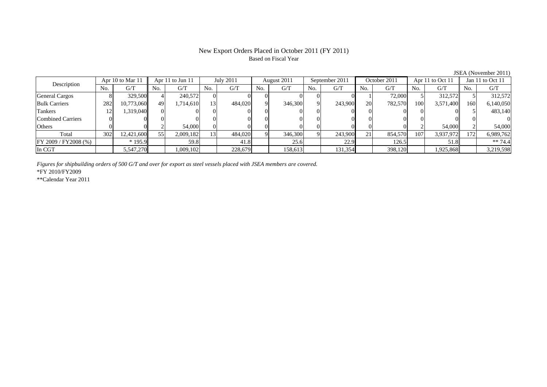# New Export Orders Placed in October 2011 (FY 2011) Based on Fiscal Year

|                       | $\frac{1}{2}$ |                  |     |           |     |             |             |                |     |              |     |                      |     |                  |     |           |
|-----------------------|---------------|------------------|-----|-----------|-----|-------------|-------------|----------------|-----|--------------|-----|----------------------|-----|------------------|-----|-----------|
| Apr 10 to Mar 11      |               | Apr 11 to Jun 11 |     | July 2011 |     | August 2011 |             | September 2011 |     | October 2011 |     | Apr $11$ to Oct $11$ |     | Jan 11 to Oct 11 |     |           |
| Description           | No.           | G/T              | No. | G/T       | No. | G/T         | No.         | G/T            | No. | G/T          | No. | G/T                  | No. | G/T              | No. | G/T       |
| <b>General Cargos</b> |               | 329,500          |     | 240,572   |     |             |             |                |     |              |     | 72,000               |     | 312.572          |     | 312,572   |
| <b>Bulk Carriers</b>  | 282           | 10,773,060       | 49  | 1,714,610 | 131 | 484,020     | $\mathbf Q$ | 346,300        |     | 243,900      | 20  | 782,570              | 100 | 3,571,400        | 160 | 6,140,050 |
| Tankers               | ⊥∠            | 1.319.040        |     |           |     |             |             |                |     |              |     |                      |     |                  |     | 483,140   |
| Combined Carriers     |               |                  |     |           |     |             |             |                |     |              |     |                      |     |                  |     |           |
| Others                |               |                  |     | 54,000    |     |             |             |                |     |              |     |                      |     | 54,000           |     | 54,000    |
| Total                 | 302           | 12,421,600       | 55  | 2,009,182 | '31 | 484,020     | $\Omega$    | 346,300        |     | 243,900      | 21  | 854,570              | 107 | 3,937,972        | 172 | 6,989,762 |
| FY 2009 / FY 2008 (%) |               | $*195.9$         |     | 59.8      |     | 41.8        |             | 25.6           |     | 22.9         |     | 126.5                |     | 51.8             |     | $** 74.4$ |
| In CGT                |               | 5,547,270        |     | 1,009,102 |     | 228,679     |             | 158,613        |     | 131,354      |     | 398,120              |     | 1,925,868        |     | 3,219,598 |

*Figures for shipbuilding orders of 500 G/T and over for export as steel vessels placed with JSEA members are covered.*

\*FY 2010/FY2009

\*\*Calendar Year 2011

JSEA (November 2011)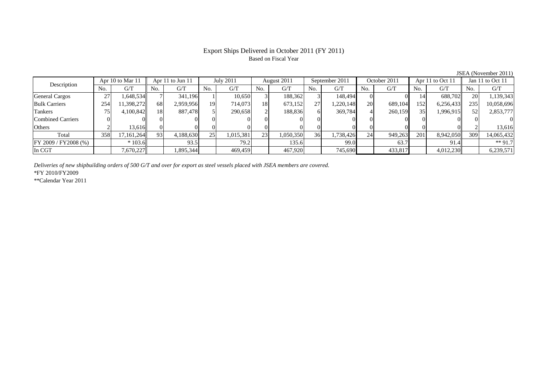# Export Ships Delivered in October 2011 (FY 2011) Based on Fiscal Year

No. G/T No. G/T No. G/T No. G/T No. G/T No. G/T No. G/T No. G/T $G/T$ General Cargos ( 27 1,648,534 7 341,196 1 10,650 3 188,362 3 148,494 0 0 14 688,702 20 1,139,343 Bulk Carriers 254 11,398,272 68 2,959,956 19 714,073 18 673,152 27 1,220,148 20 689,104 152 6,256,433 235 10,058,696 Tankers | 75 | 4,100,842 || 18 887,478 | 5 | 290,658 | 2 | 188,836 | 6 | 369,784 | 4 | 260,159 | 35 | 1,996,915 || 52 | 2,853,777 Combined Carriers 0 0 0 0 0 0 0 0 0 0 0 0 0 0 0 0Others | 2 | 13,616 || 0 | 0 | 0 | 0 | 0 | 0 | 0 | 0 | 0 | 0 | 2 | 13,616 Total 358 17,161,264 93 4,188,630 25 1,015,381 23 1,050,350 36 1,738,426 24 949,263 201 8,942,050 309 14,065,432 FY 2009 / FY2008 (%) \* 103.6 93.5 79.2 135.6 99.0 63.7 91.4 \*\* 91.7 In CGT | | 7,670,227|| | 1,895,344| | 469,459| | 467,920| | 745,690| | 433,817| | 4,012,230|| | 6,239,571 Apr 10 to Mar 11 Apr 11 to Jun 11 July 2011 August 2011 September 2011 October 2011 Apr 11 to Oct 11 Jan 11 to Oct 11 Description

*Deliveries of new shipbuilding orders of 500 G/T and over for export as steel vessels placed with JSEA members are covered.*

\*FY 2010/FY2009

\*\*Calendar Year 2011

JSEA (November 2011)